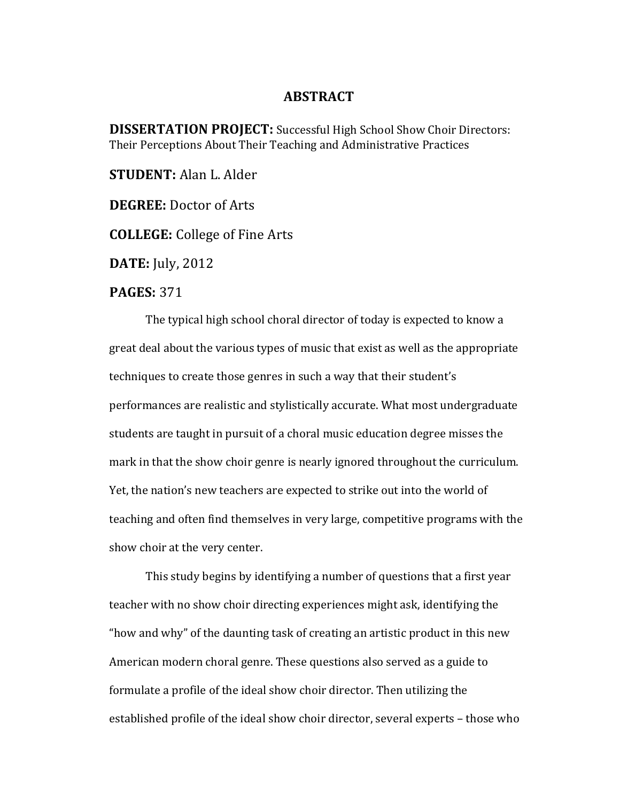## **ABSTRACT**

**DISSERTATION PROJECT:** Successful High School Show Choir Directors: Their Perceptions About Their Teaching and Administrative Practices

**STUDENT:** Alan L. Alder

**DEGREE:** Doctor of Arts

**COLLEGE:** College of Fine Arts

**DATE:** July, 2012

## **PAGES:** 371

The typical high school choral director of today is expected to know a great deal about the various types of music that exist as well as the appropriate techniques to create those genres in such a way that their student's performances are realistic and stylistically accurate. What most undergraduate students are taught in pursuit of a choral music education degree misses the mark in that the show choir genre is nearly ignored throughout the curriculum. Yet, the nation's new teachers are expected to strike out into the world of teaching and often find themselves in very large, competitive programs with the show choir at the very center.

This study begins by identifying a number of questions that a first year teacher with no show choir directing experiences might ask, identifying the "how and why" of the daunting task of creating an artistic product in this new American modern choral genre. These questions also served as a guide to formulate a profile of the ideal show choir director. Then utilizing the established profile of the ideal show choir director, several experts - those who